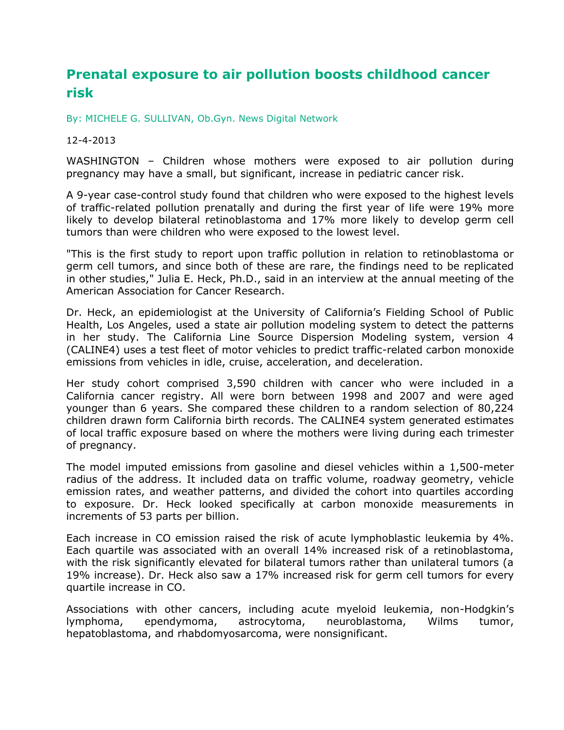## **Prenatal exposure to air pollution boosts childhood cancer risk**

[By: MICHELE G. SULLIVAN, Ob.Gyn. News Digital Network](mailto:msullivan@frontlinemedcom.com)

## 12-4-2013

WASHINGTON – Children whose mothers were exposed to air pollution during pregnancy may have a small, but significant, increase in pediatric cancer risk.

A 9-year case-control study found that children who were exposed to the highest levels of traffic-related pollution prenatally and during the first year of life were 19% more likely to develop bilateral retinoblastoma and 17% more likely to develop germ cell tumors than were children who were exposed to the lowest level.

"This is the first study to report upon traffic pollution in relation to retinoblastoma or germ cell tumors, and since both of these are rare, the findings need to be replicated in other studies," Julia E. Heck, Ph.D., said in an interview at the annual meeting of the American Association for Cancer Research.

Dr. Heck, an epidemiologist at the University of California's Fielding School of Public Health, Los Angeles, used a state air pollution modeling system to detect the patterns in her study. The California Line Source Dispersion Modeling system, version 4 (CALINE4) uses a test fleet of motor vehicles to predict traffic-related carbon monoxide emissions from vehicles in idle, cruise, acceleration, and deceleration.

Her study cohort comprised 3,590 children with cancer who were included in a California cancer registry. All were born between 1998 and 2007 and were aged younger than 6 years. She compared these children to a random selection of 80,224 children drawn form California birth records. The CALINE4 system generated estimates of local traffic exposure based on where the mothers were living during each trimester of pregnancy.

The model imputed emissions from gasoline and diesel vehicles within a 1,500-meter radius of the address. It included data on traffic volume, roadway geometry, vehicle emission rates, and weather patterns, and divided the cohort into quartiles according to exposure. Dr. Heck looked specifically at carbon monoxide measurements in increments of 53 parts per billion.

Each increase in CO emission raised the risk of acute lymphoblastic leukemia by 4%. Each quartile was associated with an overall 14% increased risk of a retinoblastoma, with the risk significantly elevated for bilateral tumors rather than unilateral tumors (a 19% increase). Dr. Heck also saw a 17% increased risk for germ cell tumors for every quartile increase in CO.

Associations with other cancers, including acute myeloid leukemia, non-Hodgkin's lymphoma, ependymoma, astrocytoma, neuroblastoma, Wilms tumor, hepatoblastoma, and rhabdomyosarcoma, were nonsignificant.